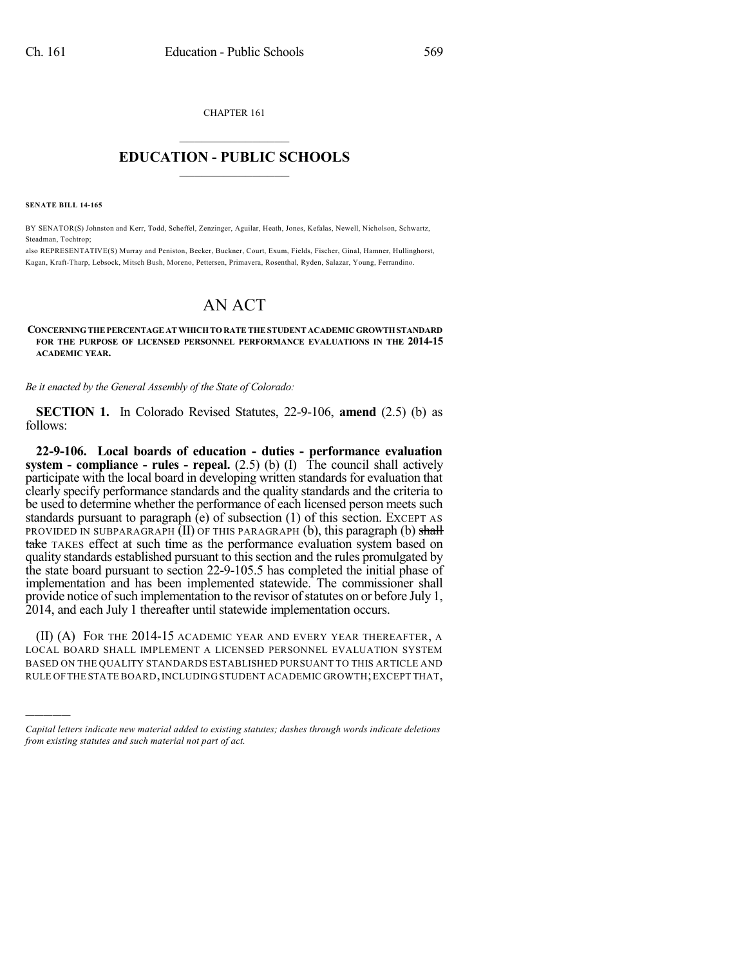CHAPTER 161

## $\mathcal{L}_\text{max}$  . The set of the set of the set of the set of the set of the set of the set of the set of the set of the set of the set of the set of the set of the set of the set of the set of the set of the set of the set **EDUCATION - PUBLIC SCHOOLS**  $\_$   $\_$   $\_$   $\_$   $\_$   $\_$   $\_$   $\_$   $\_$

**SENATE BILL 14-165**

)))))

BY SENATOR(S) Johnston and Kerr, Todd, Scheffel, Zenzinger, Aguilar, Heath, Jones, Kefalas, Newell, Nicholson, Schwartz, Steadman, Tochtrop;

also REPRESENTATIVE(S) Murray and Peniston, Becker, Buckner, Court, Exum, Fields, Fischer, Ginal, Hamner, Hullinghorst, Kagan, Kraft-Tharp, Lebsock, Mitsch Bush, Moreno, Pettersen, Primavera, Rosenthal, Ryden, Salazar, Young, Ferrandino.

## AN ACT

**CONCERNINGTHEPERCENTAGEATWHICHTORATETHESTUDENT ACADEMIC GROWTHSTANDARD FOR THE PURPOSE OF LICENSED PERSONNEL PERFORMANCE EVALUATIONS IN THE 2014-15 ACADEMIC YEAR.**

*Be it enacted by the General Assembly of the State of Colorado:*

**SECTION 1.** In Colorado Revised Statutes, 22-9-106, **amend** (2.5) (b) as follows:

**22-9-106. Local boards of education - duties - performance evaluation system - compliance - rules - repeal.** (2.5) (b) (I) The council shall actively participate with the local board in developing written standards for evaluation that clearly specify performance standards and the quality standards and the criteria to be used to determine whether the performance of each licensed person meets such standards pursuant to paragraph (e) of subsection (1) of this section. EXCEPT AS PROVIDED IN SUBPARAGRAPH  $(II)$  OF THIS PARAGRAPH  $(b)$ , this paragraph  $(b)$  shall take TAKES effect at such time as the performance evaluation system based on quality standards established pursuant to this section and the rules promulgated by the state board pursuant to section 22-9-105.5 has completed the initial phase of implementation and has been implemented statewide. The commissioner shall provide notice of such implementation to the revisor of statutes on or before July 1, 2014, and each July 1 thereafter until statewide implementation occurs.

(II) (A) FOR THE 2014-15 ACADEMIC YEAR AND EVERY YEAR THEREAFTER, A LOCAL BOARD SHALL IMPLEMENT A LICENSED PERSONNEL EVALUATION SYSTEM BASED ON THE QUALITY STANDARDS ESTABLISHED PURSUANT TO THIS ARTICLE AND RULE OFTHE STATE BOARD,INCLUDING STUDENT ACADEMIC GROWTH;EXCEPT THAT,

*Capital letters indicate new material added to existing statutes; dashes through words indicate deletions from existing statutes and such material not part of act.*